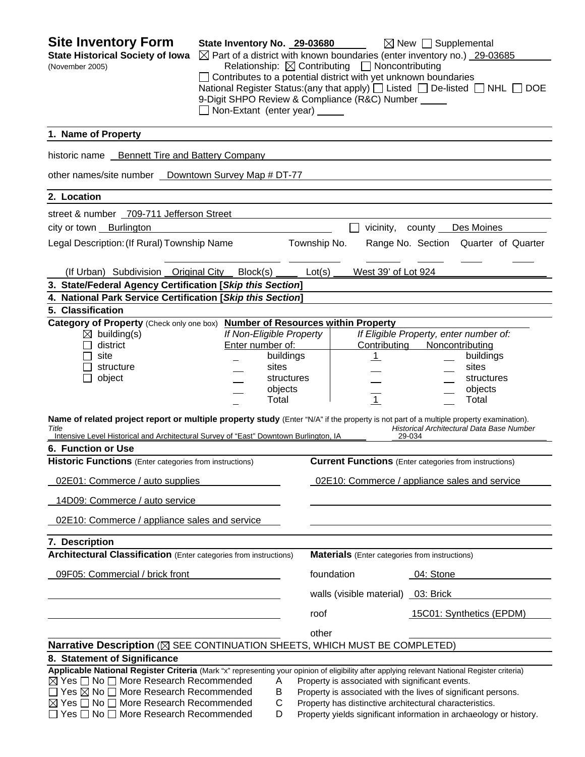**Site Inventory Form State Inventory No. 29-03680** New Supplemental **State Historical Society of Iowa**  $\boxtimes$  Part of a district with known boundaries (enter inventory no.) 29-03685 (November 2005) Relationship:ContributingNoncontributing  $\Box$  Contributes to a potential district with yet unknown boundaries National Register Status:(any that apply)  $\Box$  Listed  $\Box$  De-listed  $\Box$  NHL  $\Box$  DOE 9-Digit SHPO Review & Compliance (R&C) Number Non-Extant (enter year) **1. Name of Property**  historic name Bennett Tire and Battery Company other names/site number Downtown Survey Map # DT-77 **2. Location**  street & number 709-711 Jefferson Street city or town Burlington vicinity, county Des Moines Legal Description: (If Rural) Township Name Township No. Range No. Section Quarter of Quarter (If Urban) Subdivision Original City Block(s) Lot(s) West 39' of Lot 924 **3. State/Federal Agency Certification [***Skip this Section***] 4. National Park Service Certification [***Skip this Section***] 5. Classification Category of Property** (Check only one box) **Number of Resources within Property** building(s) *If Non-Eligible Property If Eligible Property, enter number of:* district Enter number of: Contributing Noncontributing site **buildings** | 1 buildings structure sites sites sites sites sites sites sites object and the structures structures in the structures object structures  $\qquad \qquad \qquad \qquad \text{objects} \qquad \qquad \qquad \qquad \qquad \text{...} \qquad \qquad \text{objects}$  $\qquad \qquad -$  Total  $\qquad \qquad \frac{1}{\qquad}$  Total  $\qquad \qquad -$  Total **Name of related project report or multiple property study** (Enter "N/A" if the property is not part of a multiple property examination). *Title Historical Architectural Data Base Number*  Intensive Level Historical and Architectural Survey of "East" Downtown Burlington, IA **6. Function or Use Historic Functions** (Enter categories from instructions) **Current Functions** (Enter categories from instructions) 02E01: Commerce / auto supplies 02E10: Commerce / appliance sales and service 14D09: Commerce / auto service 02E10: Commerce / appliance sales and service **7. Description Architectural Classification** (Enter categories from instructions) **Materials** (Enter categories from instructions) 09F05: Commercial / brick front foundation foundation 04: Stone walls (visible material) 03: Brick roof 15C01: Synthetics (EPDM) <u>other contracts and contracts and contracts and contracts and contracts and contracts and contracts and contracts and contracts and contracts and contracts and contracts and contracts and contracts and contracts and contr</u> **Narrative Description** ( $\boxtimes$  SEE CONTINUATION SHEETS, WHICH MUST BE COMPLETED) **8. Statement of Significance Applicable National Register Criteria** (Mark "x" representing your opinion of eligibility after applying relevant National Register criteria)  $\boxtimes$  Yes  $\Box$  No  $\Box$  More Research Recommended  $\Box$  A Property is associated with significant events.  $\Box$  Yes  $\boxtimes$  No  $\Box$  More Research Recommended B Property is associated with the lives of significant persons.  $\boxtimes$  Yes  $\Box$  No  $\Box$  More Research Recommended  $\Box$  C Property has distinctive architectural characteristics.  $\Box$  Yes  $\Box$  No  $\Box$  More Research Recommended D Property yields significant information in archaeology or history.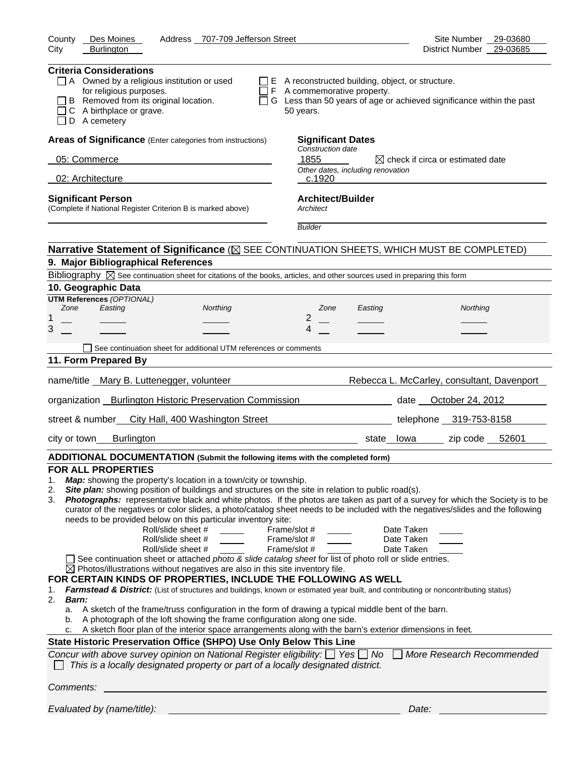| Address 707-709 Jefferson Street<br>Des Moines<br>County                                                                                                                                                                                                                                                                                                                                                                                                                                                                                                                                                                                                                                                                                                                                                                                                                                                                                                                                                                                                                                                                                                                                                                                                                                                                                                                                                                                                                                                                                                                                                                                                                                         | Site Number<br>29-03680                                             |
|--------------------------------------------------------------------------------------------------------------------------------------------------------------------------------------------------------------------------------------------------------------------------------------------------------------------------------------------------------------------------------------------------------------------------------------------------------------------------------------------------------------------------------------------------------------------------------------------------------------------------------------------------------------------------------------------------------------------------------------------------------------------------------------------------------------------------------------------------------------------------------------------------------------------------------------------------------------------------------------------------------------------------------------------------------------------------------------------------------------------------------------------------------------------------------------------------------------------------------------------------------------------------------------------------------------------------------------------------------------------------------------------------------------------------------------------------------------------------------------------------------------------------------------------------------------------------------------------------------------------------------------------------------------------------------------------------|---------------------------------------------------------------------|
| City<br><b>Burlington</b>                                                                                                                                                                                                                                                                                                                                                                                                                                                                                                                                                                                                                                                                                                                                                                                                                                                                                                                                                                                                                                                                                                                                                                                                                                                                                                                                                                                                                                                                                                                                                                                                                                                                        | <b>District Number</b><br>29-03685                                  |
| <b>Criteria Considerations</b><br>$\Box$ A Owned by a religious institution or used<br>$\Box$ E A reconstructed building, object, or structure.<br>for religious purposes.<br>$\Box$ F A commemorative property.<br>B Removed from its original location.<br>□ G Less than 50 years of age or achieved significance within the past<br>C A birthplace or grave.<br>50 years.<br>D A cemetery                                                                                                                                                                                                                                                                                                                                                                                                                                                                                                                                                                                                                                                                                                                                                                                                                                                                                                                                                                                                                                                                                                                                                                                                                                                                                                     |                                                                     |
| Areas of Significance (Enter categories from instructions)<br><b>Significant Dates</b>                                                                                                                                                                                                                                                                                                                                                                                                                                                                                                                                                                                                                                                                                                                                                                                                                                                                                                                                                                                                                                                                                                                                                                                                                                                                                                                                                                                                                                                                                                                                                                                                           |                                                                     |
| Construction date<br>1855<br>05: Commerce                                                                                                                                                                                                                                                                                                                                                                                                                                                                                                                                                                                                                                                                                                                                                                                                                                                                                                                                                                                                                                                                                                                                                                                                                                                                                                                                                                                                                                                                                                                                                                                                                                                        |                                                                     |
| Other dates, including renovation                                                                                                                                                                                                                                                                                                                                                                                                                                                                                                                                                                                                                                                                                                                                                                                                                                                                                                                                                                                                                                                                                                                                                                                                                                                                                                                                                                                                                                                                                                                                                                                                                                                                | $\boxtimes$ check if circa or estimated date                        |
| 02: Architecture<br>c.1920                                                                                                                                                                                                                                                                                                                                                                                                                                                                                                                                                                                                                                                                                                                                                                                                                                                                                                                                                                                                                                                                                                                                                                                                                                                                                                                                                                                                                                                                                                                                                                                                                                                                       |                                                                     |
| <b>Architect/Builder</b><br><b>Significant Person</b><br>(Complete if National Register Criterion B is marked above)<br>Architect                                                                                                                                                                                                                                                                                                                                                                                                                                                                                                                                                                                                                                                                                                                                                                                                                                                                                                                                                                                                                                                                                                                                                                                                                                                                                                                                                                                                                                                                                                                                                                |                                                                     |
| <b>Builder</b>                                                                                                                                                                                                                                                                                                                                                                                                                                                                                                                                                                                                                                                                                                                                                                                                                                                                                                                                                                                                                                                                                                                                                                                                                                                                                                                                                                                                                                                                                                                                                                                                                                                                                   |                                                                     |
| Narrative Statement of Significance ( $\boxtimes$ SEE CONTINUATION SHEETS, WHICH MUST BE COMPLETED)                                                                                                                                                                                                                                                                                                                                                                                                                                                                                                                                                                                                                                                                                                                                                                                                                                                                                                                                                                                                                                                                                                                                                                                                                                                                                                                                                                                                                                                                                                                                                                                              |                                                                     |
| 9. Major Bibliographical References                                                                                                                                                                                                                                                                                                                                                                                                                                                                                                                                                                                                                                                                                                                                                                                                                                                                                                                                                                                                                                                                                                                                                                                                                                                                                                                                                                                                                                                                                                                                                                                                                                                              |                                                                     |
| Bibliography $\boxtimes$ See continuation sheet for citations of the books, articles, and other sources used in preparing this form                                                                                                                                                                                                                                                                                                                                                                                                                                                                                                                                                                                                                                                                                                                                                                                                                                                                                                                                                                                                                                                                                                                                                                                                                                                                                                                                                                                                                                                                                                                                                              |                                                                     |
| 10. Geographic Data                                                                                                                                                                                                                                                                                                                                                                                                                                                                                                                                                                                                                                                                                                                                                                                                                                                                                                                                                                                                                                                                                                                                                                                                                                                                                                                                                                                                                                                                                                                                                                                                                                                                              |                                                                     |
| <b>UTM References (OPTIONAL)</b><br>Easting<br>Northing<br>Zone<br>Zone<br>Easting                                                                                                                                                                                                                                                                                                                                                                                                                                                                                                                                                                                                                                                                                                                                                                                                                                                                                                                                                                                                                                                                                                                                                                                                                                                                                                                                                                                                                                                                                                                                                                                                               | Northing                                                            |
| 2<br>1                                                                                                                                                                                                                                                                                                                                                                                                                                                                                                                                                                                                                                                                                                                                                                                                                                                                                                                                                                                                                                                                                                                                                                                                                                                                                                                                                                                                                                                                                                                                                                                                                                                                                           |                                                                     |
| 3<br>4                                                                                                                                                                                                                                                                                                                                                                                                                                                                                                                                                                                                                                                                                                                                                                                                                                                                                                                                                                                                                                                                                                                                                                                                                                                                                                                                                                                                                                                                                                                                                                                                                                                                                           |                                                                     |
| See continuation sheet for additional UTM references or comments                                                                                                                                                                                                                                                                                                                                                                                                                                                                                                                                                                                                                                                                                                                                                                                                                                                                                                                                                                                                                                                                                                                                                                                                                                                                                                                                                                                                                                                                                                                                                                                                                                 |                                                                     |
| 11. Form Prepared By                                                                                                                                                                                                                                                                                                                                                                                                                                                                                                                                                                                                                                                                                                                                                                                                                                                                                                                                                                                                                                                                                                                                                                                                                                                                                                                                                                                                                                                                                                                                                                                                                                                                             |                                                                     |
| name/title Mary B. Luttenegger, volunteer                                                                                                                                                                                                                                                                                                                                                                                                                                                                                                                                                                                                                                                                                                                                                                                                                                                                                                                                                                                                                                                                                                                                                                                                                                                                                                                                                                                                                                                                                                                                                                                                                                                        | Rebecca L. McCarley, consultant, Davenport                          |
| organization Burlington Historic Preservation Commission                                                                                                                                                                                                                                                                                                                                                                                                                                                                                                                                                                                                                                                                                                                                                                                                                                                                                                                                                                                                                                                                                                                                                                                                                                                                                                                                                                                                                                                                                                                                                                                                                                         | date October 24, 2012                                               |
|                                                                                                                                                                                                                                                                                                                                                                                                                                                                                                                                                                                                                                                                                                                                                                                                                                                                                                                                                                                                                                                                                                                                                                                                                                                                                                                                                                                                                                                                                                                                                                                                                                                                                                  |                                                                     |
| street & number<br>City Hall, 400 Washington Street                                                                                                                                                                                                                                                                                                                                                                                                                                                                                                                                                                                                                                                                                                                                                                                                                                                                                                                                                                                                                                                                                                                                                                                                                                                                                                                                                                                                                                                                                                                                                                                                                                              | telephone 319-753-8158                                              |
| <b>Burlington</b><br>city or town<br>state lowa                                                                                                                                                                                                                                                                                                                                                                                                                                                                                                                                                                                                                                                                                                                                                                                                                                                                                                                                                                                                                                                                                                                                                                                                                                                                                                                                                                                                                                                                                                                                                                                                                                                  | zip code $52601$                                                    |
| ADDITIONAL DOCUMENTATION (Submit the following items with the completed form)                                                                                                                                                                                                                                                                                                                                                                                                                                                                                                                                                                                                                                                                                                                                                                                                                                                                                                                                                                                                                                                                                                                                                                                                                                                                                                                                                                                                                                                                                                                                                                                                                    |                                                                     |
| <b>FOR ALL PROPERTIES</b><br>Map: showing the property's location in a town/city or township.<br>1.<br>Site plan: showing position of buildings and structures on the site in relation to public road(s).<br>2.<br>Photographs: representative black and white photos. If the photos are taken as part of a survey for which the Society is to be<br>3.<br>curator of the negatives or color slides, a photo/catalog sheet needs to be included with the negatives/slides and the following<br>needs to be provided below on this particular inventory site:<br>Roll/slide sheet #<br>Frame/slot #<br>Roll/slide sheet #<br>Frame/slot #<br>Roll/slide sheet #<br>Frame/slot #<br>See continuation sheet or attached photo & slide catalog sheet for list of photo roll or slide entries.<br>$\boxtimes$ Photos/illustrations without negatives are also in this site inventory file.<br>FOR CERTAIN KINDS OF PROPERTIES, INCLUDE THE FOLLOWING AS WELL<br>Farmstead & District: (List of structures and buildings, known or estimated year built, and contributing or noncontributing status)<br>1.<br>2.<br><b>Barn:</b><br>A sketch of the frame/truss configuration in the form of drawing a typical middle bent of the barn.<br>a.<br>A photograph of the loft showing the frame configuration along one side.<br>b.<br>A sketch floor plan of the interior space arrangements along with the barn's exterior dimensions in feet.<br>c.<br>State Historic Preservation Office (SHPO) Use Only Below This Line<br>Concur with above survey opinion on National Register eligibility: $\Box$ Yes $\Box$ No<br>This is a locally designated property or part of a locally designated district. | Date Taken<br>Date Taken<br>Date Taken<br>More Research Recommended |
| Comments:                                                                                                                                                                                                                                                                                                                                                                                                                                                                                                                                                                                                                                                                                                                                                                                                                                                                                                                                                                                                                                                                                                                                                                                                                                                                                                                                                                                                                                                                                                                                                                                                                                                                                        |                                                                     |
| Evaluated by (name/title):                                                                                                                                                                                                                                                                                                                                                                                                                                                                                                                                                                                                                                                                                                                                                                                                                                                                                                                                                                                                                                                                                                                                                                                                                                                                                                                                                                                                                                                                                                                                                                                                                                                                       | Date:                                                               |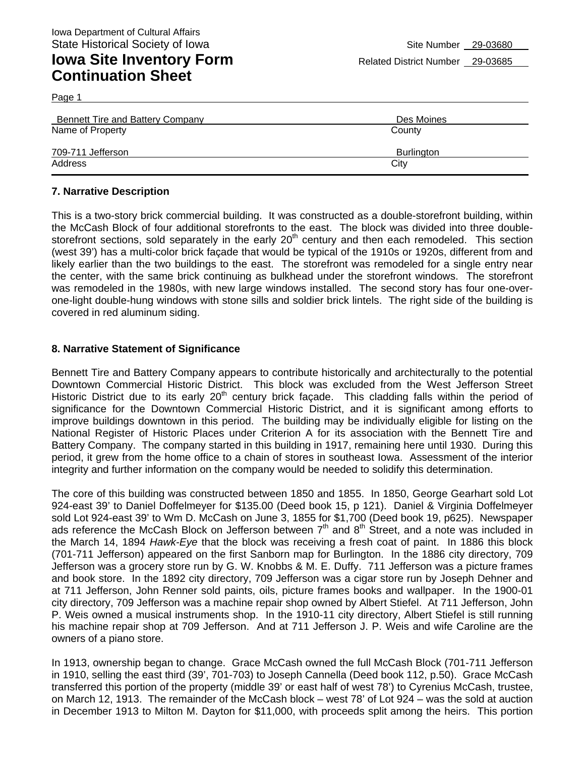Page 1

| Bennett Tire and Battery Company | Des Moines |
|----------------------------------|------------|
| Name of Property                 | County     |
| 709-711 Jefferson                | Burlington |
| Address                          | City       |

#### **7. Narrative Description**

This is a two-story brick commercial building. It was constructed as a double-storefront building, within the McCash Block of four additional storefronts to the east. The block was divided into three doublestorefront sections, sold separately in the early  $20<sup>th</sup>$  century and then each remodeled. This section (west 39') has a multi-color brick façade that would be typical of the 1910s or 1920s, different from and likely earlier than the two buildings to the east. The storefront was remodeled for a single entry near the center, with the same brick continuing as bulkhead under the storefront windows. The storefront was remodeled in the 1980s, with new large windows installed. The second story has four one-overone-light double-hung windows with stone sills and soldier brick lintels. The right side of the building is covered in red aluminum siding.

#### **8. Narrative Statement of Significance**

Bennett Tire and Battery Company appears to contribute historically and architecturally to the potential Downtown Commercial Historic District. This block was excluded from the West Jefferson Street Historic District due to its early 20<sup>th</sup> century brick façade. This cladding falls within the period of significance for the Downtown Commercial Historic District, and it is significant among efforts to improve buildings downtown in this period. The building may be individually eligible for listing on the National Register of Historic Places under Criterion A for its association with the Bennett Tire and Battery Company. The company started in this building in 1917, remaining here until 1930. During this period, it grew from the home office to a chain of stores in southeast Iowa. Assessment of the interior integrity and further information on the company would be needed to solidify this determination.

The core of this building was constructed between 1850 and 1855. In 1850, George Gearhart sold Lot 924-east 39' to Daniel Doffelmeyer for \$135.00 (Deed book 15, p 121). Daniel & Virginia Doffelmeyer sold Lot 924-east 39' to Wm D. McCash on June 3, 1855 for \$1,700 (Deed book 19, p625). Newspaper ads reference the McCash Block on Jefferson between  $7<sup>th</sup>$  and  $8<sup>th</sup>$  Street, and a note was included in the March 14, 1894 *Hawk-Eye* that the block was receiving a fresh coat of paint. In 1886 this block (701-711 Jefferson) appeared on the first Sanborn map for Burlington. In the 1886 city directory, 709 Jefferson was a grocery store run by G. W. Knobbs & M. E. Duffy. 711 Jefferson was a picture frames and book store. In the 1892 city directory, 709 Jefferson was a cigar store run by Joseph Dehner and at 711 Jefferson, John Renner sold paints, oils, picture frames books and wallpaper. In the 1900-01 city directory, 709 Jefferson was a machine repair shop owned by Albert Stiefel. At 711 Jefferson, John P. Weis owned a musical instruments shop. In the 1910-11 city directory, Albert Stiefel is still running his machine repair shop at 709 Jefferson. And at 711 Jefferson J. P. Weis and wife Caroline are the owners of a piano store.

In 1913, ownership began to change. Grace McCash owned the full McCash Block (701-711 Jefferson in 1910, selling the east third (39', 701-703) to Joseph Cannella (Deed book 112, p.50). Grace McCash transferred this portion of the property (middle 39' or east half of west 78') to Cyrenius McCash, trustee, on March 12, 1913. The remainder of the McCash block – west 78' of Lot 924 – was the sold at auction in December 1913 to Milton M. Dayton for \$11,000, with proceeds split among the heirs. This portion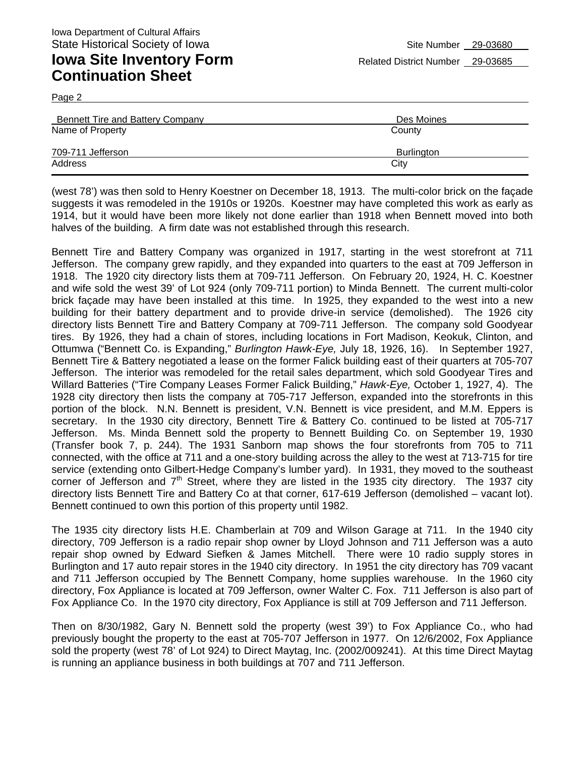Page 2

| Bennett Tire and Battery Company | Des Moines |
|----------------------------------|------------|
| Name of Property                 | County     |
| 709-711 Jefferson                | Burlington |
| Address                          | City       |

(west 78') was then sold to Henry Koestner on December 18, 1913. The multi-color brick on the façade suggests it was remodeled in the 1910s or 1920s. Koestner may have completed this work as early as 1914, but it would have been more likely not done earlier than 1918 when Bennett moved into both halves of the building. A firm date was not established through this research.

Bennett Tire and Battery Company was organized in 1917, starting in the west storefront at 711 Jefferson. The company grew rapidly, and they expanded into quarters to the east at 709 Jefferson in 1918. The 1920 city directory lists them at 709-711 Jefferson. On February 20, 1924, H. C. Koestner and wife sold the west 39' of Lot 924 (only 709-711 portion) to Minda Bennett. The current multi-color brick façade may have been installed at this time. In 1925, they expanded to the west into a new building for their battery department and to provide drive-in service (demolished). The 1926 city directory lists Bennett Tire and Battery Company at 709-711 Jefferson. The company sold Goodyear tires. By 1926, they had a chain of stores, including locations in Fort Madison, Keokuk, Clinton, and Ottumwa ("Bennett Co. is Expanding," *Burlington Hawk-Eye,* July 18, 1926, 16). In September 1927, Bennett Tire & Battery negotiated a lease on the former Falick building east of their quarters at 705-707 Jefferson. The interior was remodeled for the retail sales department, which sold Goodyear Tires and Willard Batteries ("Tire Company Leases Former Falick Building," *Hawk-Eye,* October 1, 1927, 4). The 1928 city directory then lists the company at 705-717 Jefferson, expanded into the storefronts in this portion of the block. N.N. Bennett is president, V.N. Bennett is vice president, and M.M. Eppers is secretary. In the 1930 city directory, Bennett Tire & Battery Co. continued to be listed at 705-717 Jefferson. Ms. Minda Bennett sold the property to Bennett Building Co. on September 19, 1930 (Transfer book 7, p. 244). The 1931 Sanborn map shows the four storefronts from 705 to 711 connected, with the office at 711 and a one-story building across the alley to the west at 713-715 for tire service (extending onto Gilbert-Hedge Company's lumber yard). In 1931, they moved to the southeast corner of Jefferson and  $7<sup>th</sup>$  Street, where they are listed in the 1935 city directory. The 1937 city directory lists Bennett Tire and Battery Co at that corner, 617-619 Jefferson (demolished – vacant lot). Bennett continued to own this portion of this property until 1982.

The 1935 city directory lists H.E. Chamberlain at 709 and Wilson Garage at 711. In the 1940 city directory, 709 Jefferson is a radio repair shop owner by Lloyd Johnson and 711 Jefferson was a auto repair shop owned by Edward Siefken & James Mitchell. There were 10 radio supply stores in Burlington and 17 auto repair stores in the 1940 city directory. In 1951 the city directory has 709 vacant and 711 Jefferson occupied by The Bennett Company, home supplies warehouse. In the 1960 city directory, Fox Appliance is located at 709 Jefferson, owner Walter C. Fox. 711 Jefferson is also part of Fox Appliance Co. In the 1970 city directory, Fox Appliance is still at 709 Jefferson and 711 Jefferson.

Then on 8/30/1982, Gary N. Bennett sold the property (west 39') to Fox Appliance Co., who had previously bought the property to the east at 705-707 Jefferson in 1977. On 12/6/2002, Fox Appliance sold the property (west 78' of Lot 924) to Direct Maytag, Inc. (2002/009241). At this time Direct Maytag is running an appliance business in both buildings at 707 and 711 Jefferson.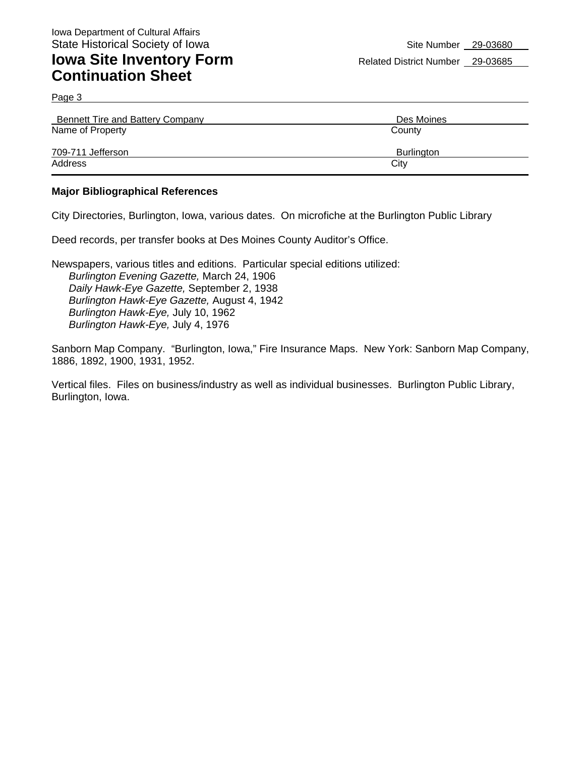Page 3

| Bennett Tire and Battery Company | Des Moines        |
|----------------------------------|-------------------|
| Name of Property                 | County            |
| 709-711 Jefferson                | <b>Burlington</b> |
| Address                          | City              |

#### **Major Bibliographical References**

City Directories, Burlington, Iowa, various dates. On microfiche at the Burlington Public Library

Deed records, per transfer books at Des Moines County Auditor's Office.

Newspapers, various titles and editions. Particular special editions utilized: *Burlington Evening Gazette,* March 24, 1906 *Daily Hawk-Eye Gazette,* September 2, 1938 *Burlington Hawk-Eye Gazette,* August 4, 1942 *Burlington Hawk-Eye,* July 10, 1962 *Burlington Hawk-Eye,* July 4, 1976

Sanborn Map Company. "Burlington, Iowa," Fire Insurance Maps. New York: Sanborn Map Company, 1886, 1892, 1900, 1931, 1952.

Vertical files. Files on business/industry as well as individual businesses. Burlington Public Library, Burlington, Iowa.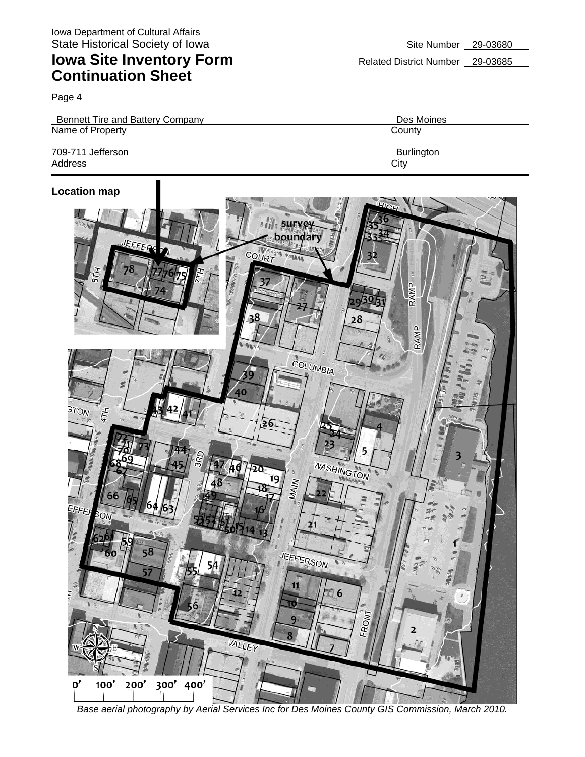Page 4

| Bennett Tire and Battery Company | Des Moines |
|----------------------------------|------------|
| Name of Property                 | County     |
| 709-711 Jefferson                | Burlington |
| Address                          | City       |

#### **Location map**



*Base aerial photography by Aerial Services Inc for Des Moines County GIS Commission, March 2010.*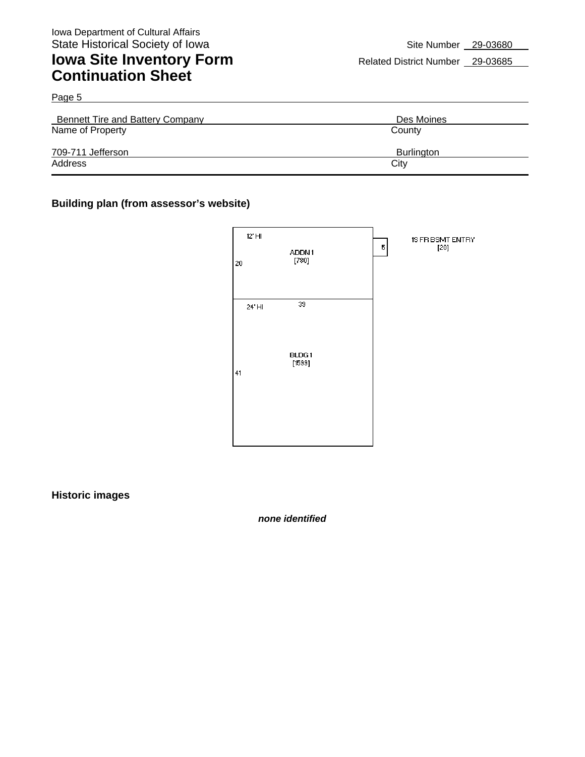| Bennett Tire and Battery Company | Des Moines        |
|----------------------------------|-------------------|
| Name of Property                 | County            |
| 709-711 Jefferson                | <b>Burlington</b> |
| Address                          | City              |

#### **Building plan (from assessor's website)**



**Historic images** 

*none identified*